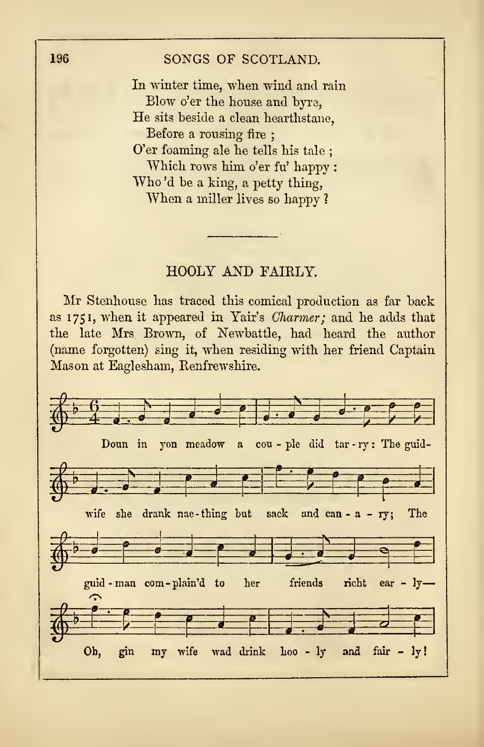## HOOLY AND FAIRLY.

Mr Stenhouse has traced this comical production as far back as <sup>1</sup>75 1, when it appeared in Yair's Charmer; and he adds that the late Mrs Brown, of Newbattle, had heard the author (name forgotten) sing it, when residing with her friend Captain Mason at Eaglesham, Renfrewshire.

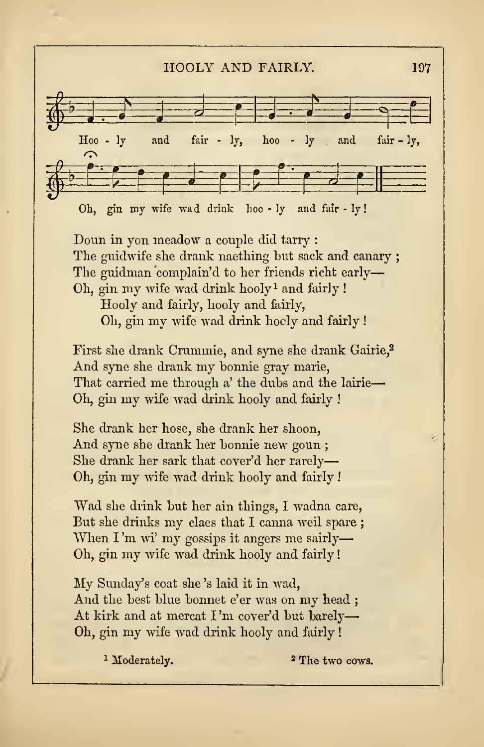## HOOLY AND FAIRLY. <sup>197</sup>



Doun in yon meadow a couple did tarry : The guidwife she drank naething hut sack and canary ; The guidman complain'd to her friends richt early— Oh, gin my wife wad drink hooly <sup>1</sup> and fairly !

Hooly and fairly, hooly and fairly, Oh, gin my wife wad drink hooly and fairly !

First she drank Crummie, and syne she drank Gairie,<sup>2</sup> And syne she drank my honnie gray marie, That carried me through a' the duhs and the lairie Oh, gin my wife wad drink hooly and fairly !

She drank her hose, she drank her shoon, And syne she drank her bonnie new goun ; She drank her sark that cover'd her rarely Oh, gin my wife wad drink hooly and fairly

Wad she drink but her ain things, I wadna care, But she drinks my claes that <sup>I</sup> canna weil spare ; When  $\Gamma'$ m wi' my gossips it angers me sairly— Oh, gin my wife wad drink hooly and fairly

My Sunday's coat she 's laid it in wad, And the best blue bonnet e'er was on my head ; At kirk and at mercat I'm cover'd but barely-Oh, gin my wife wad drink hooly and fairly !

<sup>1</sup> Moderately. <sup>2</sup> The two cows.